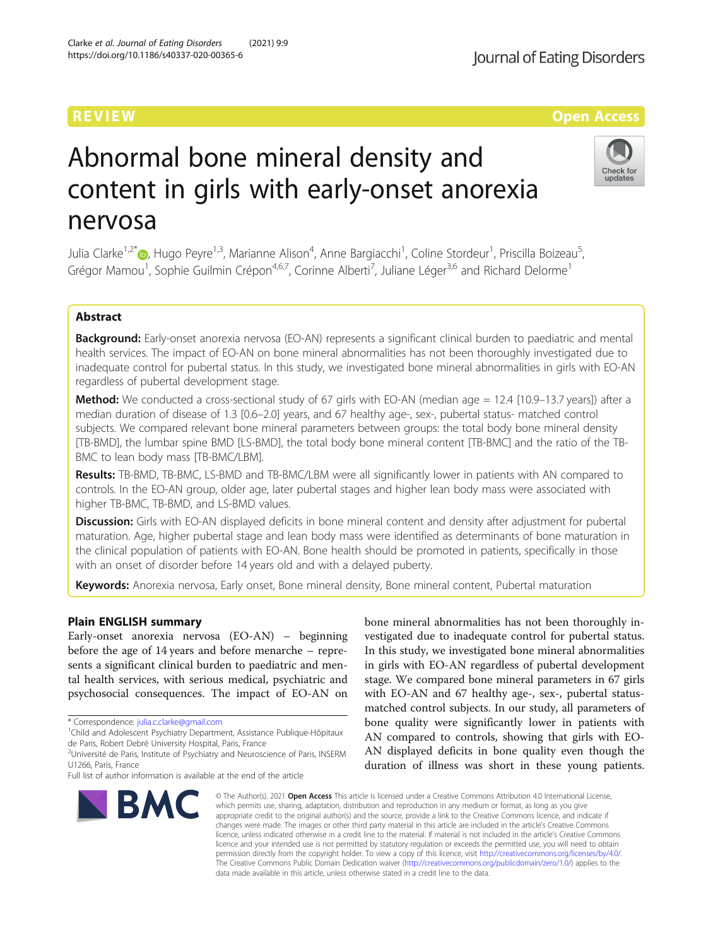# Abnormal bone mineral density and content in girls with early-onset anorexia nervosa

Julia Clarke<sup>1[,](http://orcid.org/0000-0003-0852-7459)2\*</sup>®, Hugo Peyre<sup>1,3</sup>, Marianne Alison<sup>4</sup>, Anne Bargiacchi<sup>1</sup>, Coline Stordeur<sup>1</sup>, Priscilla Boizeau<sup>5</sup> , Grégor Mamou<sup>1</sup>, Sophie Guilmin Crépon<sup>4,6,7</sup>, Corinne Alberti<sup>7</sup>, Juliane Léger<sup>3,6</sup> and Richard Delorme<sup>1</sup>

# Abstract

Background: Early-onset anorexia nervosa (EO-AN) represents a significant clinical burden to paediatric and mental health services. The impact of EO-AN on bone mineral abnormalities has not been thoroughly investigated due to inadequate control for pubertal status. In this study, we investigated bone mineral abnormalities in girls with EO-AN regardless of pubertal development stage.

**Method:** We conducted a cross-sectional study of 67 girls with EO-AN (median age = 12.4 [10.9–13.7 years]) after a median duration of disease of 1.3 [0.6–2.0] years, and 67 healthy age-, sex-, pubertal status- matched control subjects. We compared relevant bone mineral parameters between groups: the total body bone mineral density [TB-BMD], the lumbar spine BMD [LS-BMD], the total body bone mineral content [TB-BMC] and the ratio of the TB-BMC to lean body mass [TB-BMC/LBM].

Results: TB-BMD, TB-BMC, LS-BMD and TB-BMC/LBM were all significantly lower in patients with AN compared to controls. In the EO-AN group, older age, later pubertal stages and higher lean body mass were associated with higher TB-BMC, TB-BMD, and LS-BMD values.

Discussion: Girls with EO-AN displayed deficits in bone mineral content and density after adjustment for pubertal maturation. Age, higher pubertal stage and lean body mass were identified as determinants of bone maturation in the clinical population of patients with EO-AN. Bone health should be promoted in patients, specifically in those with an onset of disorder before 14 years old and with a delayed puberty.

Keywords: Anorexia nervosa, Early onset, Bone mineral density, Bone mineral content, Pubertal maturation

# Plain ENGLISH summary

Early-onset anorexia nervosa (EO-AN) – beginning before the age of 14 years and before menarche – represents a significant clinical burden to paediatric and mental health services, with serious medical, psychiatric and psychosocial consequences. The impact of EO-AN on

\* Correspondence: [julia.c.clarke@gmail.com](mailto:julia.c.clarke@gmail.com) <sup>1</sup>

**BMC** 

<sup>1</sup>Child and Adolescent Psychiatry Department, Assistance Publique-Hôpitaux de Paris, Robert Debré University Hospital, Paris, France

vestigated due to inadequate control for pubertal status. In this study, we investigated bone mineral abnormalities in girls with EO-AN regardless of pubertal development stage. We compared bone mineral parameters in 67 girls with EO-AN and 67 healthy age-, sex-, pubertal statusmatched control subjects. In our study, all parameters of bone quality were significantly lower in patients with AN compared to controls, showing that girls with EO-AN displayed deficits in bone quality even though the duration of illness was short in these young patients.

© The Author(s), 2021 **Open Access** This article is licensed under a Creative Commons Attribution 4.0 International License, which permits use, sharing, adaptation, distribution and reproduction in any medium or format, as long as you give appropriate credit to the original author(s) and the source, provide a link to the Creative Commons licence, and indicate if changes were made. The images or other third party material in this article are included in the article's Creative Commons licence, unless indicated otherwise in a credit line to the material. If material is not included in the article's Creative Commons licence and your intended use is not permitted by statutory regulation or exceeds the permitted use, you will need to obtain permission directly from the copyright holder. To view a copy of this licence, visit [http://creativecommons.org/licenses/by/4.0/.](http://creativecommons.org/licenses/by/4.0/) The Creative Commons Public Domain Dedication waiver [\(http://creativecommons.org/publicdomain/zero/1.0/](http://creativecommons.org/publicdomain/zero/1.0/)) applies to the data made available in this article, unless otherwise stated in a credit line to the data.

bone mineral abnormalities has not been thoroughly in-





<sup>&</sup>lt;sup>2</sup>Université de Paris, Institute of Psychiatry and Neuroscience of Paris, INSERM U1266, Paris, France

Full list of author information is available at the end of the article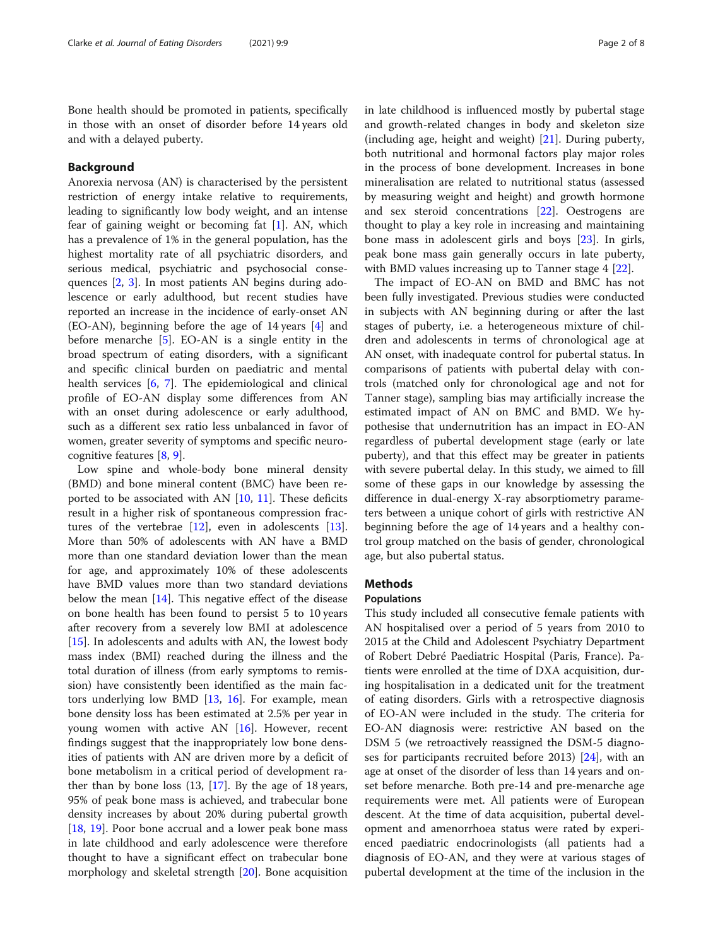Bone health should be promoted in patients, specifically in those with an onset of disorder before 14 years old and with a delayed puberty.

# Background

Anorexia nervosa (AN) is characterised by the persistent restriction of energy intake relative to requirements, leading to significantly low body weight, and an intense fear of gaining weight or becoming fat [\[1](#page-6-0)]. AN, which has a prevalence of 1% in the general population, has the highest mortality rate of all psychiatric disorders, and serious medical, psychiatric and psychosocial consequences [[2](#page-6-0), [3](#page-6-0)]. In most patients AN begins during adolescence or early adulthood, but recent studies have reported an increase in the incidence of early-onset AN (EO-AN), beginning before the age of 14 years [[4\]](#page-6-0) and before menarche  $[5]$  $[5]$ . EO-AN is a single entity in the broad spectrum of eating disorders, with a significant and specific clinical burden on paediatric and mental health services [[6,](#page-6-0) [7](#page-6-0)]. The epidemiological and clinical profile of EO-AN display some differences from AN with an onset during adolescence or early adulthood, such as a different sex ratio less unbalanced in favor of women, greater severity of symptoms and specific neurocognitive features [[8](#page-6-0), [9](#page-6-0)].

Low spine and whole-body bone mineral density (BMD) and bone mineral content (BMC) have been reported to be associated with AN [\[10](#page-6-0), [11\]](#page-6-0). These deficits result in a higher risk of spontaneous compression fractures of the vertebrae [\[12](#page-6-0)], even in adolescents [\[13](#page-6-0)]. More than 50% of adolescents with AN have a BMD more than one standard deviation lower than the mean for age, and approximately 10% of these adolescents have BMD values more than two standard deviations below the mean  $[14]$ . This negative effect of the disease on bone health has been found to persist 5 to 10 years after recovery from a severely low BMI at adolescence [[15\]](#page-6-0). In adolescents and adults with AN, the lowest body mass index (BMI) reached during the illness and the total duration of illness (from early symptoms to remission) have consistently been identified as the main factors underlying low BMD [\[13](#page-6-0), [16\]](#page-6-0). For example, mean bone density loss has been estimated at 2.5% per year in young women with active AN  $[16]$  $[16]$  $[16]$ . However, recent findings suggest that the inappropriately low bone densities of patients with AN are driven more by a deficit of bone metabolism in a critical period of development rather than by bone loss (13, [\[17](#page-6-0)]. By the age of 18 years, 95% of peak bone mass is achieved, and trabecular bone density increases by about 20% during pubertal growth [[18,](#page-6-0) [19](#page-6-0)]. Poor bone accrual and a lower peak bone mass in late childhood and early adolescence were therefore thought to have a significant effect on trabecular bone morphology and skeletal strength [[20\]](#page-6-0). Bone acquisition in late childhood is influenced mostly by pubertal stage and growth-related changes in body and skeleton size (including age, height and weight)  $[21]$  $[21]$ . During puberty, both nutritional and hormonal factors play major roles in the process of bone development. Increases in bone mineralisation are related to nutritional status (assessed by measuring weight and height) and growth hormone and sex steroid concentrations [\[22](#page-6-0)]. Oestrogens are thought to play a key role in increasing and maintaining bone mass in adolescent girls and boys [\[23\]](#page-6-0). In girls, peak bone mass gain generally occurs in late puberty, with BMD values increasing up to Tanner stage 4 [[22](#page-6-0)].

The impact of EO-AN on BMD and BMC has not been fully investigated. Previous studies were conducted in subjects with AN beginning during or after the last stages of puberty, i.e. a heterogeneous mixture of children and adolescents in terms of chronological age at AN onset, with inadequate control for pubertal status. In comparisons of patients with pubertal delay with controls (matched only for chronological age and not for Tanner stage), sampling bias may artificially increase the estimated impact of AN on BMC and BMD. We hypothesise that undernutrition has an impact in EO-AN regardless of pubertal development stage (early or late puberty), and that this effect may be greater in patients with severe pubertal delay. In this study, we aimed to fill some of these gaps in our knowledge by assessing the difference in dual-energy X-ray absorptiometry parameters between a unique cohort of girls with restrictive AN beginning before the age of 14 years and a healthy control group matched on the basis of gender, chronological age, but also pubertal status.

# **Methods**

# Populations

This study included all consecutive female patients with AN hospitalised over a period of 5 years from 2010 to 2015 at the Child and Adolescent Psychiatry Department of Robert Debré Paediatric Hospital (Paris, France). Patients were enrolled at the time of DXA acquisition, during hospitalisation in a dedicated unit for the treatment of eating disorders. Girls with a retrospective diagnosis of EO-AN were included in the study. The criteria for EO-AN diagnosis were: restrictive AN based on the DSM 5 (we retroactively reassigned the DSM-5 diagnoses for participants recruited before 2013) [[24\]](#page-6-0), with an age at onset of the disorder of less than 14 years and onset before menarche. Both pre-14 and pre-menarche age requirements were met. All patients were of European descent. At the time of data acquisition, pubertal development and amenorrhoea status were rated by experienced paediatric endocrinologists (all patients had a diagnosis of EO-AN, and they were at various stages of pubertal development at the time of the inclusion in the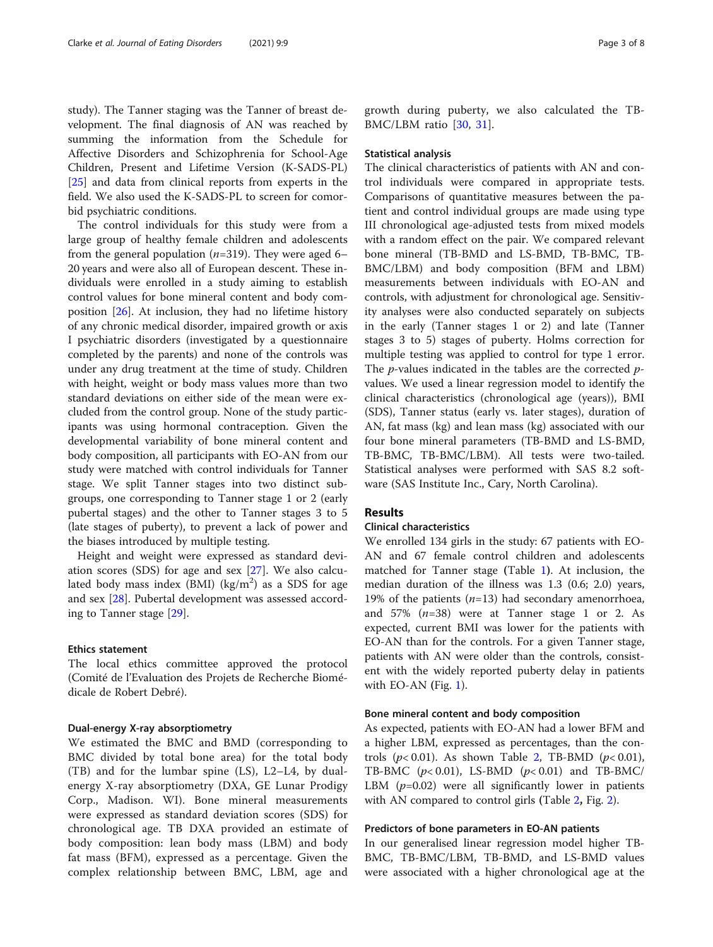study). The Tanner staging was the Tanner of breast development. The final diagnosis of AN was reached by summing the information from the Schedule for Affective Disorders and Schizophrenia for School-Age Children, Present and Lifetime Version (K-SADS-PL) [[25\]](#page-6-0) and data from clinical reports from experts in the field. We also used the K-SADS-PL to screen for comorbid psychiatric conditions.

The control individuals for this study were from a large group of healthy female children and adolescents from the general population ( $n=319$ ). They were aged 6– 20 years and were also all of European descent. These individuals were enrolled in a study aiming to establish control values for bone mineral content and body composition [[26\]](#page-7-0). At inclusion, they had no lifetime history of any chronic medical disorder, impaired growth or axis I psychiatric disorders (investigated by a questionnaire completed by the parents) and none of the controls was under any drug treatment at the time of study. Children with height, weight or body mass values more than two standard deviations on either side of the mean were excluded from the control group. None of the study participants was using hormonal contraception. Given the developmental variability of bone mineral content and body composition, all participants with EO-AN from our study were matched with control individuals for Tanner stage. We split Tanner stages into two distinct subgroups, one corresponding to Tanner stage 1 or 2 (early pubertal stages) and the other to Tanner stages 3 to 5 (late stages of puberty), to prevent a lack of power and the biases introduced by multiple testing.

Height and weight were expressed as standard deviation scores (SDS) for age and sex [\[27\]](#page-7-0). We also calculated body mass index  $(BMI)$   $(kg/m^2)$  as a SDS for age and sex [[28\]](#page-7-0). Pubertal development was assessed according to Tanner stage [[29\]](#page-7-0).

## Ethics statement

The local ethics committee approved the protocol (Comité de l'Evaluation des Projets de Recherche Biomédicale de Robert Debré).

#### Dual-energy X-ray absorptiometry

We estimated the BMC and BMD (corresponding to BMC divided by total bone area) for the total body (TB) and for the lumbar spine (LS), L2–L4, by dualenergy X-ray absorptiometry (DXA, GE Lunar Prodigy Corp., Madison. WI). Bone mineral measurements were expressed as standard deviation scores (SDS) for chronological age. TB DXA provided an estimate of body composition: lean body mass (LBM) and body fat mass (BFM), expressed as a percentage. Given the complex relationship between BMC, LBM, age and growth during puberty, we also calculated the TB-BMC/LBM ratio [\[30](#page-7-0), [31\]](#page-7-0).

#### Statistical analysis

The clinical characteristics of patients with AN and control individuals were compared in appropriate tests. Comparisons of quantitative measures between the patient and control individual groups are made using type III chronological age-adjusted tests from mixed models with a random effect on the pair. We compared relevant bone mineral (TB-BMD and LS-BMD, TB-BMC, TB-BMC/LBM) and body composition (BFM and LBM) measurements between individuals with EO-AN and controls, with adjustment for chronological age. Sensitivity analyses were also conducted separately on subjects in the early (Tanner stages 1 or 2) and late (Tanner stages 3 to 5) stages of puberty. Holms correction for multiple testing was applied to control for type 1 error. The  $p$ -values indicated in the tables are the corrected  $p$ values. We used a linear regression model to identify the clinical characteristics (chronological age (years)), BMI (SDS), Tanner status (early vs. later stages), duration of AN, fat mass (kg) and lean mass (kg) associated with our four bone mineral parameters (TB-BMD and LS-BMD, TB-BMC, TB-BMC/LBM). All tests were two-tailed. Statistical analyses were performed with SAS 8.2 software (SAS Institute Inc., Cary, North Carolina).

## Results

#### Clinical characteristics

We enrolled 134 girls in the study: 67 patients with EO-AN and 67 female control children and adolescents matched for Tanner stage (Table [1](#page-3-0)). At inclusion, the median duration of the illness was 1.3 (0.6; 2.0) years, 19% of the patients  $(n=13)$  had secondary amenorrhoea, and  $57\%$   $(n=38)$  were at Tanner stage 1 or 2. As expected, current BMI was lower for the patients with EO-AN than for the controls. For a given Tanner stage, patients with AN were older than the controls, consistent with the widely reported puberty delay in patients with EO-AN (Fig. [1](#page-3-0)).

#### Bone mineral content and body composition

As expected, patients with EO-AN had a lower BFM and a higher LBM, expressed as percentages, than the controls ( $p$ < 0.01). As shown Table [2,](#page-4-0) TB-BMD ( $p$ < 0.01), TB-BMC  $(p< 0.01)$ , LS-BMD  $(p< 0.01)$  and TB-BMC/ LBM  $(p=0.02)$  were all significantly lower in patients with AN compared to control girls (Table [2](#page-4-0), Fig. 2).

## Predictors of bone parameters in EO-AN patients

In our generalised linear regression model higher TB-BMC, TB-BMC/LBM, TB-BMD, and LS-BMD values were associated with a higher chronological age at the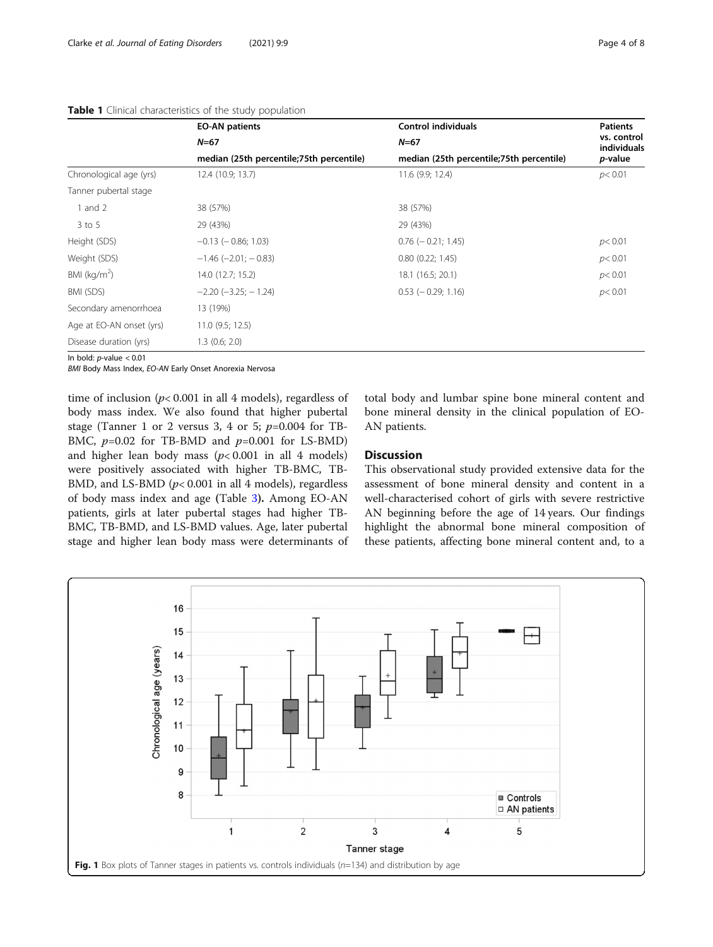|                          | <b>EO-AN patients</b>                    | <b>Control individuals</b>               | <b>Patients</b><br>vs. control<br>individuals<br><i>p</i> -value |  |
|--------------------------|------------------------------------------|------------------------------------------|------------------------------------------------------------------|--|
|                          | $N = 67$                                 | $N = 67$                                 |                                                                  |  |
|                          | median (25th percentile;75th percentile) | median (25th percentile;75th percentile) |                                                                  |  |
| Chronological age (yrs)  | 12.4 (10.9; 13.7)                        | 11.6 (9.9; 12.4)                         | p < 0.01                                                         |  |
| Tanner pubertal stage    |                                          |                                          |                                                                  |  |
| 1 and $2$                | 38 (57%)                                 | 38 (57%)                                 |                                                                  |  |
| $3$ to $5$               | 29 (43%)                                 | 29 (43%)                                 |                                                                  |  |
| Height (SDS)             | $-0.13$ ( $-0.86$ ; 1.03)                | $0.76$ ( $-0.21$ ; 1.45)                 | p<0.01                                                           |  |
| Weight (SDS)             | $-1.46$ ( $-2.01$ ; $-0.83$ )            | 0.80(0.22; 1.45)                         | p < 0.01                                                         |  |
| BMI ( $kg/m2$ )          | 14.0 (12.7; 15.2)                        | 18.1 (16.5; 20.1)                        | p < 0.01                                                         |  |
| BMI (SDS)                | $-2.20$ $(-3.25; -1.24)$                 | $0.53$ ( $-0.29$ ; 1.16)                 | p < 0.01                                                         |  |
| Secondary amenorrhoea    | 13 (19%)                                 |                                          |                                                                  |  |
| Age at EO-AN onset (yrs) | 11.0(9.5; 12.5)                          |                                          |                                                                  |  |
| Disease duration (yrs)   | $1.3$ (0.6; 2.0)                         |                                          |                                                                  |  |

# <span id="page-3-0"></span>Table 1 Clinical characteristics of the study population

In bold:  $p$ -value  $< 0.01$ 

BMI Body Mass Index, EO-AN Early Onset Anorexia Nervosa

time of inclusion  $(p< 0.001$  in all 4 models), regardless of body mass index. We also found that higher pubertal stage (Tanner 1 or 2 versus 3, 4 or 5;  $p=0.004$  for TB-BMC,  $p=0.02$  for TB-BMD and  $p=0.001$  for LS-BMD) and higher lean body mass  $(p< 0.001$  in all 4 models) were positively associated with higher TB-BMC, TB-BMD, and LS-BMD ( $p$ < 0.001 in all 4 models), regardless of body mass index and age (Table [3](#page-5-0)). Among EO-AN patients, girls at later pubertal stages had higher TB-BMC, TB-BMD, and LS-BMD values. Age, later pubertal stage and higher lean body mass were determinants of

total body and lumbar spine bone mineral content and bone mineral density in the clinical population of EO-AN patients.

# **Discussion**

This observational study provided extensive data for the assessment of bone mineral density and content in a well-characterised cohort of girls with severe restrictive AN beginning before the age of 14 years. Our findings highlight the abnormal bone mineral composition of these patients, affecting bone mineral content and, to a

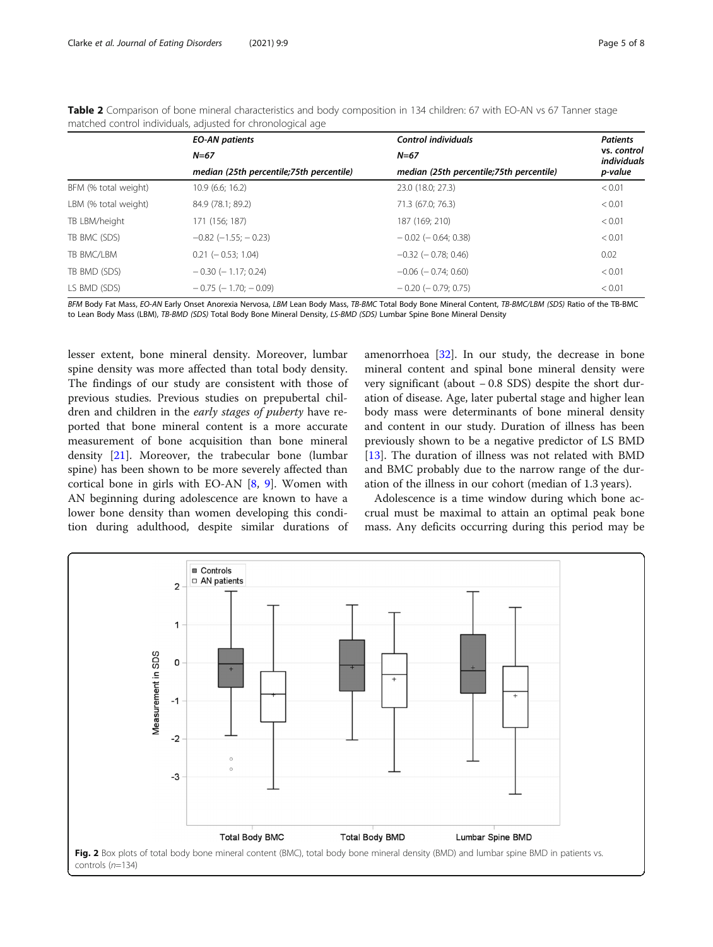|                      | <b>EO-AN patients</b>                    | <b>Control individuals</b>               | <b>Patients</b><br>vs. control<br>individuals<br>p-value |  |
|----------------------|------------------------------------------|------------------------------------------|----------------------------------------------------------|--|
|                      | $N = 67$                                 | $N = 67$                                 |                                                          |  |
|                      | median (25th percentile;75th percentile) | median (25th percentile;75th percentile) |                                                          |  |
| BFM (% total weight) | 10.9(6.6; 16.2)                          | 23.0 (18.0; 27.3)                        | < 0.01                                                   |  |
| LBM (% total weight) | 84.9 (78.1; 89.2)                        | 71.3 (67.0; 76.3)                        | < 0.01                                                   |  |
| TB LBM/height        | 171 (156; 187)                           | 187 (169; 210)                           | < 0.01                                                   |  |
| TB BMC (SDS)         | $-0.82$ ( $-1.55$ ; $-0.23$ )            | $-0.02$ ( $-0.64$ ; 0.38)                | < 0.01                                                   |  |
| TB BMC/LBM           | $0.21$ ( $-0.53$ ; 1.04)                 | $-0.32$ ( $-0.78$ ; 0.46)                | 0.02                                                     |  |
| TB BMD (SDS)         | $-0.30$ ( $-1.17$ ; 0.24)                | $-0.06$ ( $-0.74$ ; 0.60)                | < 0.01                                                   |  |
| LS BMD (SDS)         | $-0.75$ ( $-1.70$ ; $-0.09$ )            | $-0.20$ ( $-0.79$ ; 0.75)                | < 0.01                                                   |  |

<span id="page-4-0"></span>Table 2 Comparison of bone mineral characteristics and body composition in 134 children: 67 with EO-AN vs 67 Tanner stage matched control individuals, adjusted for chronological age

BFM Body Fat Mass, EO-AN Early Onset Anorexia Nervosa, LBM Lean Body Mass, TB-BMC Total Body Bone Mineral Content, TB-BMC/LBM (SDS) Ratio of the TB-BMC to Lean Body Mass (LBM), TB-BMD (SDS) Total Body Bone Mineral Density, LS-BMD (SDS) Lumbar Spine Bone Mineral Density

lesser extent, bone mineral density. Moreover, lumbar spine density was more affected than total body density. The findings of our study are consistent with those of previous studies. Previous studies on prepubertal children and children in the early stages of puberty have reported that bone mineral content is a more accurate measurement of bone acquisition than bone mineral density [\[21\]](#page-6-0). Moreover, the trabecular bone (lumbar spine) has been shown to be more severely affected than cortical bone in girls with EO-AN [[8,](#page-6-0) [9\]](#page-6-0). Women with AN beginning during adolescence are known to have a lower bone density than women developing this condition during adulthood, despite similar durations of amenorrhoea [[32\]](#page-7-0). In our study, the decrease in bone mineral content and spinal bone mineral density were very significant (about − 0.8 SDS) despite the short duration of disease. Age, later pubertal stage and higher lean body mass were determinants of bone mineral density and content in our study. Duration of illness has been previously shown to be a negative predictor of LS BMD [[13\]](#page-6-0). The duration of illness was not related with BMD and BMC probably due to the narrow range of the duration of the illness in our cohort (median of 1.3 years).

Adolescence is a time window during which bone accrual must be maximal to attain an optimal peak bone mass. Any deficits occurring during this period may be

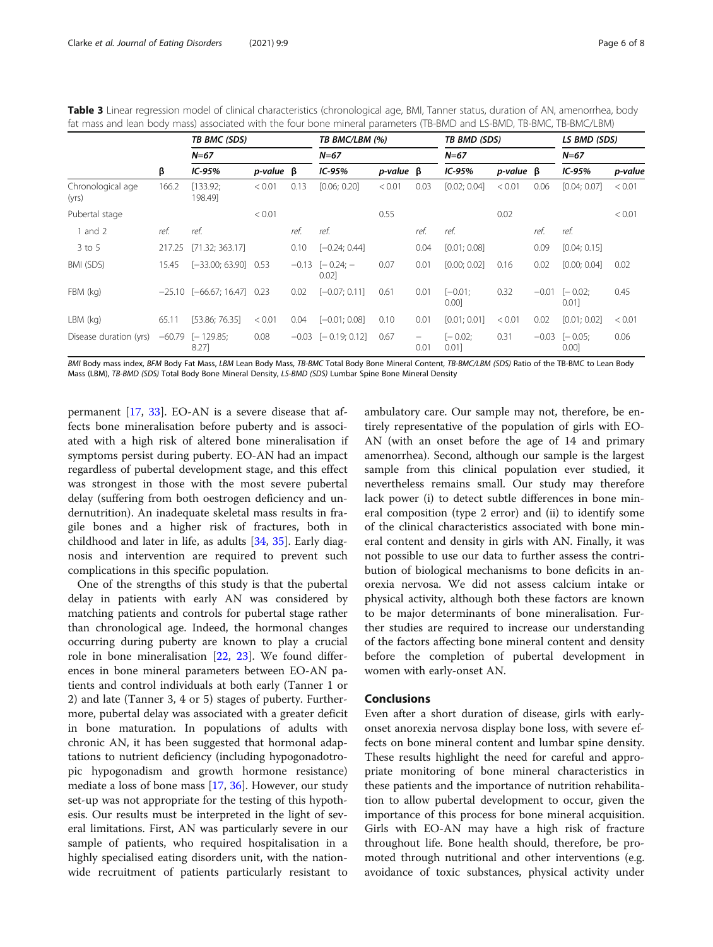<span id="page-5-0"></span>

| Table 3 Linear regression model of clinical characteristics (chronological age, BMI, Tanner status, duration of AN, amenorrhea, body |  |
|--------------------------------------------------------------------------------------------------------------------------------------|--|
| fat mass and lean body mass) associated with the four bone mineral parameters (TB-BMD and LS-BMD, TB-BMC, TB-BMC/LBM)                |  |

|                            | β      | TB BMC (SDS)<br>$N = 67$        |                    | TB BMC/LBM (%) |                           |                    |           | TB BMD (SDS)       |                    |         | LS BMD (SDS)               |         |
|----------------------------|--------|---------------------------------|--------------------|----------------|---------------------------|--------------------|-----------|--------------------|--------------------|---------|----------------------------|---------|
|                            |        |                                 |                    |                | $N = 67$                  |                    |           | $N = 67$           |                    |         | $N = 67$                   |         |
|                            |        | $IC-95%$                        | $p$ -value $\beta$ |                | $IC-95%$                  | $p$ -value $\beta$ |           | $IC-95%$           | $p$ -value $\beta$ |         | $IC-95%$                   | p-value |
| Chronological age<br>(yrs) | 166.2  | [133.92;<br>198.49]             | < 0.01             | 0.13           | [0.06; 0.20]              | < 0.01             | 0.03      | [0.02; 0.04]       | < 0.01             | 0.06    | [0.04; 0.07]               | < 0.01  |
| Pubertal stage             |        |                                 | < 0.01             |                |                           | 0.55               |           |                    | 0.02               |         |                            | < 0.01  |
| 1 and $2$                  | ref.   | ref.                            |                    | ref.           | ref.                      |                    | ref.      | ref.               |                    | ref.    | ref.                       |         |
| $3$ to 5                   | 217.25 | [71.32; 363.17]                 |                    | 0.10           | $[-0.24; 0.44]$           |                    | 0.04      | [0.01; 0.08]       |                    | 0.09    | [0.04; 0.15]               |         |
| BMI (SDS)                  | 15.45  | $[-33.00; 63.90]$ 0.53          |                    | $-0.13$        | $[-0.24: -]$<br>0.02      | 0.07               | 0.01      | [0.00; 0.02]       | 0.16               | 0.02    | [0.00; 0.04]               | 0.02    |
| FBM (kg)                   |        | $-25.10$ $[-66.67; 16.47]$ 0.23 |                    | 0.02           | $[-0.07; 0.11]$           | 0.61               | 0.01      | $[-0.01;$<br>0.00] | 0.32               | $-0.01$ | $[-0.02;$<br>0.01          | 0.45    |
| $LBM$ (kg)                 | 65.11  | [53.86; 76.35]                  | < 0.01             | 0.04           | $[-0.01; 0.08]$           | 0.10               | 0.01      | [0.01; 0.01]       | < 0.01             | 0.02    | [0.01; 0.02]               | < 0.01  |
| Disease duration (yrs)     |        | $-60.79$ [-129.85;<br>8.27]     | 0.08               |                | $-0.03$ [ $-0.19; 0.12$ ] | 0.67               | -<br>0.01 | $[-0.02;$<br>0.01  | 0.31               |         | $-0.03$ $[-0.05;$<br>0.001 | 0.06    |

BMI Body mass index, BFM Body Fat Mass, LBM Lean Body Mass, TB-BMC Total Body Bone Mineral Content, TB-BMC/LBM (SDS) Ratio of the TB-BMC to Lean Body Mass (LBM), TB-BMD (SDS) Total Body Bone Mineral Density, LS-BMD (SDS) Lumbar Spine Bone Mineral Density

permanent [\[17](#page-6-0), [33](#page-7-0)]. EO-AN is a severe disease that affects bone mineralisation before puberty and is associated with a high risk of altered bone mineralisation if symptoms persist during puberty. EO-AN had an impact regardless of pubertal development stage, and this effect was strongest in those with the most severe pubertal delay (suffering from both oestrogen deficiency and undernutrition). An inadequate skeletal mass results in fragile bones and a higher risk of fractures, both in childhood and later in life, as adults [\[34](#page-7-0), [35\]](#page-7-0). Early diagnosis and intervention are required to prevent such complications in this specific population.

One of the strengths of this study is that the pubertal delay in patients with early AN was considered by matching patients and controls for pubertal stage rather than chronological age. Indeed, the hormonal changes occurring during puberty are known to play a crucial role in bone mineralisation [[22,](#page-6-0) [23](#page-6-0)]. We found differences in bone mineral parameters between EO-AN patients and control individuals at both early (Tanner 1 or 2) and late (Tanner 3, 4 or 5) stages of puberty. Furthermore, pubertal delay was associated with a greater deficit in bone maturation. In populations of adults with chronic AN, it has been suggested that hormonal adaptations to nutrient deficiency (including hypogonadotropic hypogonadism and growth hormone resistance) mediate a loss of bone mass [\[17](#page-6-0), [36\]](#page-7-0). However, our study set-up was not appropriate for the testing of this hypothesis. Our results must be interpreted in the light of several limitations. First, AN was particularly severe in our sample of patients, who required hospitalisation in a highly specialised eating disorders unit, with the nationwide recruitment of patients particularly resistant to

ambulatory care. Our sample may not, therefore, be entirely representative of the population of girls with EO-AN (with an onset before the age of 14 and primary amenorrhea). Second, although our sample is the largest sample from this clinical population ever studied, it nevertheless remains small. Our study may therefore lack power (i) to detect subtle differences in bone mineral composition (type 2 error) and (ii) to identify some of the clinical characteristics associated with bone mineral content and density in girls with AN. Finally, it was not possible to use our data to further assess the contribution of biological mechanisms to bone deficits in anorexia nervosa. We did not assess calcium intake or physical activity, although both these factors are known to be major determinants of bone mineralisation. Further studies are required to increase our understanding of the factors affecting bone mineral content and density before the completion of pubertal development in women with early-onset AN.

# Conclusions

Even after a short duration of disease, girls with earlyonset anorexia nervosa display bone loss, with severe effects on bone mineral content and lumbar spine density. These results highlight the need for careful and appropriate monitoring of bone mineral characteristics in these patients and the importance of nutrition rehabilitation to allow pubertal development to occur, given the importance of this process for bone mineral acquisition. Girls with EO-AN may have a high risk of fracture throughout life. Bone health should, therefore, be promoted through nutritional and other interventions (e.g. avoidance of toxic substances, physical activity under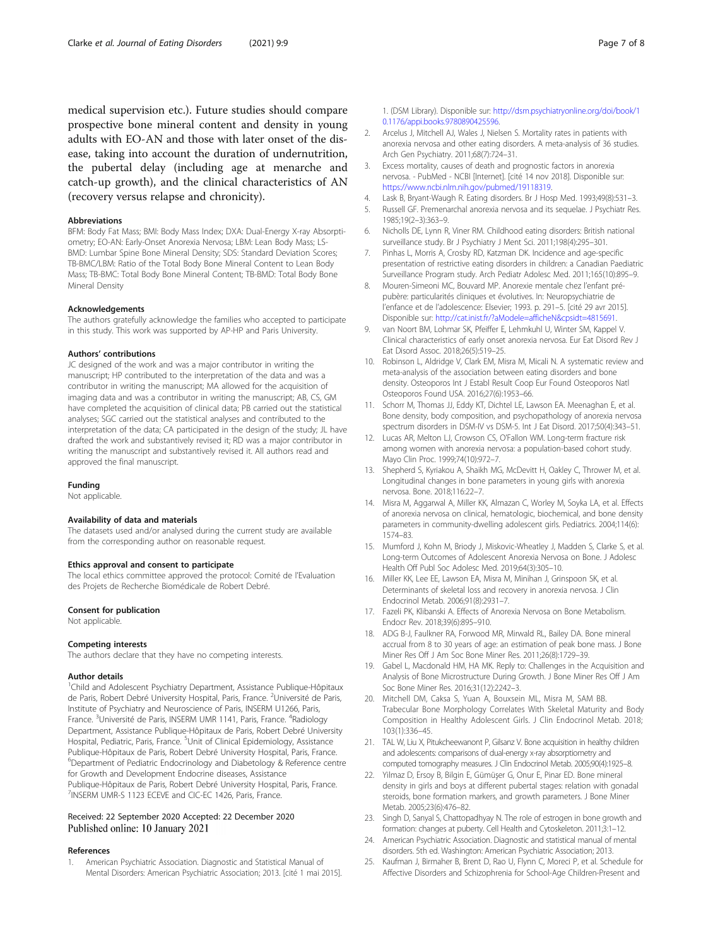<span id="page-6-0"></span>medical supervision etc.). Future studies should compare prospective bone mineral content and density in young adults with EO-AN and those with later onset of the disease, taking into account the duration of undernutrition, the pubertal delay (including age at menarche and catch-up growth), and the clinical characteristics of AN (recovery versus relapse and chronicity).

#### Abbreviations

BFM: Body Fat Mass; BMI: Body Mass Index; DXA: Dual-Energy X-ray Absorptiometry; EO-AN: Early-Onset Anorexia Nervosa; LBM: Lean Body Mass; LS-BMD: Lumbar Spine Bone Mineral Density; SDS: Standard Deviation Scores; TB-BMC/LBM: Ratio of the Total Body Bone Mineral Content to Lean Body Mass; TB-BMC: Total Body Bone Mineral Content; TB-BMD: Total Body Bone Mineral Density

#### Acknowledgements

The authors gratefully acknowledge the families who accepted to participate in this study. This work was supported by AP-HP and Paris University.

#### Authors' contributions

JC designed of the work and was a major contributor in writing the manuscript; HP contributed to the interpretation of the data and was a contributor in writing the manuscript; MA allowed for the acquisition of imaging data and was a contributor in writing the manuscript; AB, CS, GM have completed the acquisition of clinical data; PB carried out the statistical analyses; SGC carried out the statistical analyses and contributed to the interpretation of the data; CA participated in the design of the study; JL have drafted the work and substantively revised it; RD was a major contributor in writing the manuscript and substantively revised it. All authors read and approved the final manuscript.

#### Funding

Not applicable.

#### Availability of data and materials

The datasets used and/or analysed during the current study are available from the corresponding author on reasonable request.

#### Ethics approval and consent to participate

The local ethics committee approved the protocol: Comité de l'Evaluation des Projets de Recherche Biomédicale de Robert Debré.

#### Consent for publication

Not applicable.

#### Competing interests

The authors declare that they have no competing interests.

#### Author details

<sup>1</sup>Child and Adolescent Psychiatry Department, Assistance Publique-Hôpitaux de Paris, Robert Debré University Hospital, Paris, France. <sup>2</sup>Université de Paris, Institute of Psychiatry and Neuroscience of Paris, INSERM U1266, Paris, France. <sup>3</sup>Université de Paris, INSERM UMR 1141, Paris, France. <sup>4</sup>Radiology Department, Assistance Publique-Hôpitaux de Paris, Robert Debré University Hospital, Pediatric, Paris, France. <sup>5</sup>Unit of Clinical Epidemiology, Assistance Publique-Hôpitaux de Paris, Robert Debré University Hospital, Paris, France. <sup>6</sup>Department of Pediatric Endocrinology and Diabetology & Reference centre for Growth and Development Endocrine diseases, Assistance Publique-Hôpitaux de Paris, Robert Debré University Hospital, Paris, France. <sup>7</sup>INSERM UMR-S 1123 ECEVE and CIC-EC 1426, Paris, France.

#### Received: 22 September 2020 Accepted: 22 December 2020 Published online: 10 January 2021

#### References

1. American Psychiatric Association. Diagnostic and Statistical Manual of Mental Disorders: American Psychiatric Association; 2013. [cité 1 mai 2015].

1. (DSM Library). Disponible sur: [http://dsm.psychiatryonline.org/doi/book/1](http://dsm.psychiatryonline.org/doi/book/10.1176/appi.books.9780890425596) [0.1176/appi.books.9780890425596.](http://dsm.psychiatryonline.org/doi/book/10.1176/appi.books.9780890425596)

- 2. Arcelus J, Mitchell AJ, Wales J, Nielsen S. Mortality rates in patients with anorexia nervosa and other eating disorders. A meta-analysis of 36 studies. Arch Gen Psychiatry. 2011;68(7):724–31.
- 3. Excess mortality, causes of death and prognostic factors in anorexia nervosa. - PubMed - NCBI [Internet]. [cité 14 nov 2018]. Disponible sur: <https://www.ncbi.nlm.nih.gov/pubmed/19118319>.
- 4. Lask B, Bryant-Waugh R. Eating disorders. Br J Hosp Med. 1993;49(8):531–3.
- 5. Russell GF. Premenarchal anorexia nervosa and its sequelae. J Psychiatr Res. 1985;19(2–3):363–9.
- 6. Nicholls DE, Lynn R, Viner RM. Childhood eating disorders: British national surveillance study. Br J Psychiatry J Ment Sci. 2011;198(4):295–301.
- 7. Pinhas L, Morris A, Crosby RD, Katzman DK. Incidence and age-specific presentation of restrictive eating disorders in children: a Canadian Paediatric Surveillance Program study. Arch Pediatr Adolesc Med. 2011;165(10):895–9.
- 8. Mouren-Simeoni MC, Bouvard MP. Anorexie mentale chez l'enfant prépubère: particularités cliniques et évolutives. In: Neuropsychiatrie de l'enfance et de l'adolescence: Elsevier; 1993. p. 291-5. [cité 29 avr 2015]. Disponible sur: <http://cat.inist.fr/?aModele=afficheN&cpsidt=4815691>.
- 9. van Noort BM, Lohmar SK, Pfeiffer E, Lehmkuhl U, Winter SM, Kappel V. Clinical characteristics of early onset anorexia nervosa. Eur Eat Disord Rev J Eat Disord Assoc. 2018;26(5):519–25.
- 10. Robinson L, Aldridge V, Clark EM, Misra M, Micali N. A systematic review and meta-analysis of the association between eating disorders and bone density. Osteoporos Int J Establ Result Coop Eur Found Osteoporos Natl Osteoporos Found USA. 2016;27(6):1953–66.
- 11. Schorr M, Thomas JJ, Eddy KT, Dichtel LE, Lawson EA. Meenaghan E, et al. Bone density, body composition, and psychopathology of anorexia nervosa spectrum disorders in DSM-IV vs DSM-5. Int J Eat Disord. 2017;50(4):343–51.
- 12. Lucas AR, Melton LJ, Crowson CS, O'Fallon WM. Long-term fracture risk among women with anorexia nervosa: a population-based cohort study. Mayo Clin Proc. 1999;74(10):972–7.
- 13. Shepherd S, Kyriakou A, Shaikh MG, McDevitt H, Oakley C, Thrower M, et al. Longitudinal changes in bone parameters in young girls with anorexia nervosa. Bone. 2018;116:22–7.
- 14. Misra M, Aggarwal A, Miller KK, Almazan C, Worley M, Soyka LA, et al. Effects of anorexia nervosa on clinical, hematologic, biochemical, and bone density parameters in community-dwelling adolescent girls. Pediatrics. 2004;114(6): 1574–83.
- 15. Mumford J, Kohn M, Briody J, Miskovic-Wheatley J, Madden S, Clarke S, et al. Long-term Outcomes of Adolescent Anorexia Nervosa on Bone. J Adolesc Health Off Publ Soc Adolesc Med. 2019;64(3):305–10.
- 16. Miller KK, Lee EE, Lawson EA, Misra M, Minihan J, Grinspoon SK, et al. Determinants of skeletal loss and recovery in anorexia nervosa. J Clin Endocrinol Metab. 2006;91(8):2931–7.
- 17. Fazeli PK, Klibanski A. Effects of Anorexia Nervosa on Bone Metabolism. Endocr Rev. 2018;39(6):895–910.
- 18. ADG B-J, Faulkner RA, Forwood MR, Mirwald RL, Bailey DA. Bone mineral accrual from 8 to 30 years of age: an estimation of peak bone mass. J Bone Miner Res Off J Am Soc Bone Miner Res. 2011;26(8):1729–39.
- 19. Gabel L, Macdonald HM, HA MK. Reply to: Challenges in the Acquisition and Analysis of Bone Microstructure During Growth. J Bone Miner Res Off J Am Soc Bone Miner Res. 2016;31(12):2242–3.
- 20. Mitchell DM, Caksa S, Yuan A, Bouxsein ML, Misra M, SAM BB. Trabecular Bone Morphology Correlates With Skeletal Maturity and Body Composition in Healthy Adolescent Girls. J Clin Endocrinol Metab. 2018; 103(1):336–45.
- 21. TAL W, Liu X, Pitukcheewanont P, Gilsanz V. Bone acquisition in healthy children and adolescents: comparisons of dual-energy x-ray absorptiometry and computed tomography measures. J Clin Endocrinol Metab. 2005;90(4):1925–8.
- 22. Yilmaz D, Ersoy B, Bilgin E, Gümüşer G, Onur E, Pinar ED. Bone mineral density in girls and boys at different pubertal stages: relation with gonadal steroids, bone formation markers, and growth parameters. J Bone Miner Metab. 2005;23(6):476–82.
- 23. Singh D, Sanyal S, Chattopadhyay N. The role of estrogen in bone growth and formation: changes at puberty. Cell Health and Cytoskeleton. 2011;3:1–12.
- 24. American Psychiatric Association. Diagnostic and statistical manual of mental disorders. 5th ed. Washington: American Psychiatric Association; 2013.
- 25. Kaufman J, Birmaher B, Brent D, Rao U, Flynn C, Moreci P, et al. Schedule for Affective Disorders and Schizophrenia for School-Age Children-Present and